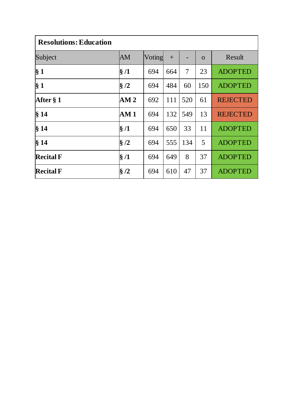| <b>Resolutions: Education</b> |        |        |     |                |          |                 |  |  |
|-------------------------------|--------|--------|-----|----------------|----------|-----------------|--|--|
| Subject                       | AM     | Voting | $+$ |                | $\Omega$ | Result          |  |  |
| $\S 1$                        | $\S/1$ | 694    | 664 | $\overline{7}$ | 23       | <b>ADOPTED</b>  |  |  |
| § 1                           | §/2    | 694    | 484 | 60             | 150      | <b>ADOPTED</b>  |  |  |
| <b>After § 1</b>              | AM2    | 692    | 111 | 520            | 61       | <b>REJECTED</b> |  |  |
| §14                           | AM1    | 694    | 132 | 549            | 13       | <b>REJECTED</b> |  |  |
| §14                           | §/1    | 694    | 650 | 33             | 11       | <b>ADOPTED</b>  |  |  |
| §14                           | §/2    | 694    | 555 | 134            | 5        | <b>ADOPTED</b>  |  |  |
| <b>Recital F</b>              | §/1    | 694    | 649 | 8              | 37       | <b>ADOPTED</b>  |  |  |
| <b>Recital F</b>              | §/2    | 694    | 610 | 47             | 37       | <b>ADOPTED</b>  |  |  |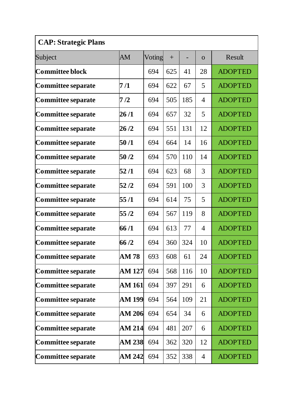| <b>CAP: Strategic Plans</b> |               |        |     |     |          |                |  |  |
|-----------------------------|---------------|--------|-----|-----|----------|----------------|--|--|
| Subject                     | AM            | Voting | $+$ |     | $\Omega$ | Result         |  |  |
| Committee block             |               | 694    | 625 | 41  | 28       | <b>ADOPTED</b> |  |  |
| Committee separate          | 7 /1          | 694    | 622 | 67  | 5        | <b>ADOPTED</b> |  |  |
| Committee separate          | 7 /2          | 694    | 505 | 185 | 4        | <b>ADOPTED</b> |  |  |
| Committee separate          | 26/1          | 694    | 657 | 32  | 5        | <b>ADOPTED</b> |  |  |
| Committee separate          | 26 /2         | 694    | 551 | 131 | 12       | <b>ADOPTED</b> |  |  |
| Committee separate          | 50/1          | 694    | 664 | 14  | 16       | <b>ADOPTED</b> |  |  |
| Committee separate          | 50 /2         | 694    | 570 | 110 | 14       | <b>ADOPTED</b> |  |  |
| Committee separate          | 52 /1         | 694    | 623 | 68  | 3        | <b>ADOPTED</b> |  |  |
| Committee separate          | 52 / 2        | 694    | 591 | 100 | 3        | <b>ADOPTED</b> |  |  |
| Committee separate          | 55/1          | 694    | 614 | 75  | 5        | <b>ADOPTED</b> |  |  |
| Committee separate          | 55 / 2        | 694    | 567 | 119 | 8        | <b>ADOPTED</b> |  |  |
| Committee separate          | 66 /1         | 694    | 613 | 77  | 4        | <b>ADOPTED</b> |  |  |
| Committee separate          | 66/2          | 694    | 360 | 324 | 10       | <b>ADOPTED</b> |  |  |
| Committee separate          | AM 78         | 693    | 608 | 61  | 24       | <b>ADOPTED</b> |  |  |
| Committee separate          | AM 127        | 694    | 568 | 116 | 10       | <b>ADOPTED</b> |  |  |
| Committee separate          | AM 161        | 694    | 397 | 291 | 6        | <b>ADOPTED</b> |  |  |
| Committee separate          | <b>AM 199</b> | 694    | 564 | 109 | 21       | <b>ADOPTED</b> |  |  |
| Committee separate          | <b>AM 206</b> | 694    | 654 | 34  | 6        | <b>ADOPTED</b> |  |  |
| Committee separate          | <b>AM 214</b> | 694    | 481 | 207 | 6        | <b>ADOPTED</b> |  |  |
| Committee separate          | <b>AM 238</b> | 694    | 362 | 320 | 12       | <b>ADOPTED</b> |  |  |
| Committee separate          | <b>AM 242</b> | 694    | 352 | 338 | 4        | <b>ADOPTED</b> |  |  |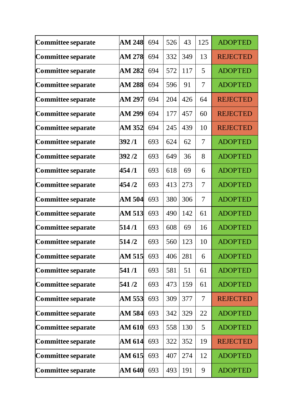| Committee separate | <b>AM 248</b> | 694 | 526 | 43  | 125            | <b>ADOPTED</b>  |
|--------------------|---------------|-----|-----|-----|----------------|-----------------|
| Committee separate | AM 278        | 694 | 332 | 349 | 13             | <b>REJECTED</b> |
| Committee separate | <b>AM 282</b> | 694 | 572 | 117 | 5              | <b>ADOPTED</b>  |
| Committee separate | <b>AM 288</b> | 694 | 596 | 91  | 7              | <b>ADOPTED</b>  |
| Committee separate | AM 297        | 694 | 204 | 426 | 64             | <b>REJECTED</b> |
| Committee separate | <b>AM 299</b> | 694 | 177 | 457 | 60             | <b>REJECTED</b> |
| Committee separate | AM 352        | 694 | 245 | 439 | 10             | <b>REJECTED</b> |
| Committee separate | 392/1         | 693 | 624 | 62  | 7              | <b>ADOPTED</b>  |
| Committee separate | 392/2         | 693 | 649 | 36  | 8              | <b>ADOPTED</b>  |
| Committee separate | 454/1         | 693 | 618 | 69  | 6              | <b>ADOPTED</b>  |
| Committee separate | 454/2         | 693 | 413 | 273 | 7              | <b>ADOPTED</b>  |
| Committee separate | <b>AM 504</b> | 693 | 380 | 306 | $\overline{7}$ | <b>ADOPTED</b>  |
| Committee separate | <b>AM 513</b> | 693 | 490 | 142 | 61             | <b>ADOPTED</b>  |
| Committee separate | 514/1         | 693 | 608 | 69  | 16             | <b>ADOPTED</b>  |
| Committee separate | 514/2         | 693 | 560 | 123 | 10             | <b>ADOPTED</b>  |
| Committee separate | AM 515        | 693 | 406 | 281 | 6              | <b>ADOPTED</b>  |
| Committee separate | 541/1         | 693 | 581 | 51  | 61             | <b>ADOPTED</b>  |
| Committee separate | 541/2         | 693 | 473 | 159 | 61             | <b>ADOPTED</b>  |
| Committee separate | AM 553        | 693 | 309 | 377 | 7              | <b>REJECTED</b> |
| Committee separate | AM 584        | 693 | 342 | 329 | 22             | <b>ADOPTED</b>  |
| Committee separate | <b>AM 610</b> | 693 | 558 | 130 | 5              | <b>ADOPTED</b>  |
| Committee separate | AM 614        | 693 | 322 | 352 | 19             | <b>REJECTED</b> |
| Committee separate | AM 615        | 693 | 407 | 274 | 12             | <b>ADOPTED</b>  |
| Committee separate | <b>AM 640</b> | 693 | 493 | 191 | 9              | <b>ADOPTED</b>  |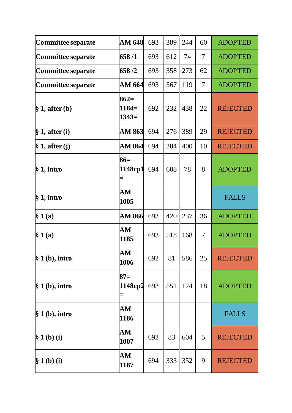| Committee separate | AM 648                       | 693 | 389 | 244 | 60                       | <b>ADOPTED</b>  |
|--------------------|------------------------------|-----|-----|-----|--------------------------|-----------------|
| Committee separate | 658/1                        | 693 | 612 | 74  | 7                        | <b>ADOPTED</b>  |
| Committee separate | 658/2                        | 693 | 358 | 273 | 62                       | <b>ADOPTED</b>  |
| Committee separate | AM 664                       | 693 | 567 | 119 | $\overline{\mathcal{I}}$ | <b>ADOPTED</b>  |
| $\S 1$ , after (b) | $862=$<br>$1184=$<br>$1343=$ | 692 | 232 | 438 | 22                       | <b>REJECTED</b> |
| $\S$ 1, after (i)  | AM 863                       | 694 | 276 | 389 | 29                       | <b>REJECTED</b> |
| $\S 1$ , after (j) | <b>AM 864</b>                | 694 | 284 | 400 | 10                       | <b>REJECTED</b> |
| $\S 1$ , intro     | $86=$<br>1148cp1             | 694 | 608 | 78  | 8                        | <b>ADOPTED</b>  |
| $\S 1$ , intro     | ${\bf AM}$<br>1005           |     |     |     |                          | <b>FALLS</b>    |
| § 1(a)             | <b>AM 866</b>                | 693 | 420 | 237 | 36                       | <b>ADOPTED</b>  |
| § 1(a)             | AM<br>1185                   | 693 | 518 | 168 | 7                        | <b>ADOPTED</b>  |
| $§ 1(b),$ intro    | AM<br>1006                   | 692 | 81  | 586 | 25                       | <b>REJECTED</b> |
| $§ 1(b),$ intro    | $87=$<br>1148cp2             | 693 | 551 | 124 | 18                       | <b>ADOPTED</b>  |
| $\S 1$ (b), intro  | AM<br>1186                   |     |     |     |                          | <b>FALLS</b>    |
| $\S 1$ (b) (i)     | AM<br>1007                   | 692 | 83  | 604 | 5                        | <b>REJECTED</b> |
| § 1(b) (i)         | AM<br>1187                   | 694 | 333 | 352 | 9                        | <b>REJECTED</b> |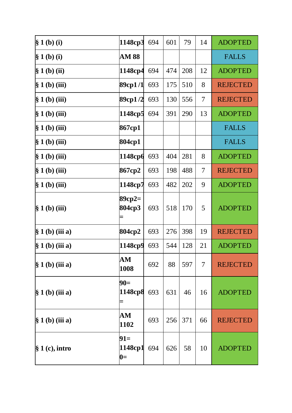| § 1(b) (i)         | 1148cp3                  | 694 | 601 | 79  | 14 | <b>ADOPTED</b>  |
|--------------------|--------------------------|-----|-----|-----|----|-----------------|
| § 1(b) (i)         | <b>AM 88</b>             |     |     |     |    | <b>FALLS</b>    |
| $\S 1$ (b) (ii)    | 1148cp4                  | 694 | 474 | 208 | 12 | <b>ADOPTED</b>  |
| $\S 1$ (b) (iii)   | 89cp1/1                  | 693 | 175 | 510 | 8  | <b>REJECTED</b> |
| $\S 1$ (b) (iii)   | 89cp1/2                  | 693 | 130 | 556 | 7  | <b>REJECTED</b> |
| $\S 1$ (b) (iii)   | 1148cp5                  | 694 | 391 | 290 | 13 | <b>ADOPTED</b>  |
| $\S 1$ (b) (iii)   | 867cp1                   |     |     |     |    | <b>FALLS</b>    |
| $\S 1$ (b) (iii)   | 804cp1                   |     |     |     |    | <b>FALLS</b>    |
| $\S 1$ (b) (iii)   | 1148cp6                  | 693 | 404 | 281 | 8  | <b>ADOPTED</b>  |
| $\S 1$ (b) (iii)   | 867ср2                   | 693 | 198 | 488 | 7  | <b>REJECTED</b> |
| $§ 1(b)$ (iii)     | 1148cp7                  | 693 | 482 | 202 | 9  | <b>ADOPTED</b>  |
| $\S 1$ (b) (iii)   | $89cp2=$<br>804cp3       | 693 | 518 | 170 | 5  | <b>ADOPTED</b>  |
| $\S 1$ (b) (iii a) | 804cp2                   | 693 | 276 | 398 | 19 | <b>REJECTED</b> |
| $\S 1$ (b) (iii a) | 1148cp9                  | 693 | 544 | 128 | 21 | <b>ADOPTED</b>  |
| $\S 1$ (b) (iii a) | AM<br>1008               | 692 | 88  | 597 | 7  | <b>REJECTED</b> |
| $\S 1$ (b) (iii a) | $90 =$<br>1148cp8        | 693 | 631 | 46  | 16 | <b>ADOPTED</b>  |
| $\S 1$ (b) (iii a) | AM<br>1102               | 693 | 256 | 371 | 66 | <b>REJECTED</b> |
| $\S 1$ (c), intro  | $91=$<br>1148cp1<br>$0=$ | 694 | 626 | 58  | 10 | <b>ADOPTED</b>  |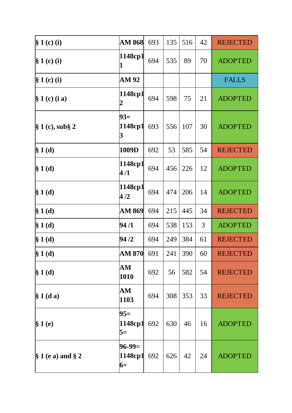| § 1 (c) (i)            | <b>AM 868</b>                  | 693 | 135 | 516 | 42 | <b>REJECTED</b> |
|------------------------|--------------------------------|-----|-----|-----|----|-----------------|
| $\S 1$ (c) (i)         | 1148cp1                        | 694 | 535 | 89  | 70 | <b>ADOPTED</b>  |
| $\S 1$ (c) (i)         | AM 92                          |     |     |     |    | <b>FALLS</b>    |
| § 1 (c) (i a)          | 1148cp1                        | 694 | 598 | 75  | 21 | <b>ADOPTED</b>  |
| $\S 1$ (c), sub $\S 2$ | $93=$<br>1148cp1<br>3          | 693 | 556 | 107 | 30 | <b>ADOPTED</b>  |
| § 1(d)                 | 1009D                          | 692 | 53  | 585 | 54 | <b>REJECTED</b> |
| § 1(d)                 | 1148cp1<br>4/1                 | 694 | 456 | 226 | 12 | <b>ADOPTED</b>  |
| § 1(d)                 | 1148cp1<br>4 /2                | 694 | 474 | 206 | 14 | <b>ADOPTED</b>  |
|                        |                                |     |     |     |    |                 |
| § 1(d)                 | <b>AM 869</b>                  | 694 | 215 | 445 | 34 | <b>REJECTED</b> |
| § 1(d)                 | 94 /1                          | 694 | 538 | 153 | 3  | <b>ADOPTED</b>  |
| § 1(d)                 | 94/2                           | 694 | 249 | 384 | 61 | <b>REJECTED</b> |
| § 1(d)                 | <b>AM 870</b>                  | 691 | 241 | 390 | 60 | <b>REJECTED</b> |
| § 1(d)                 | $\mathbf{A}\mathbf{M}$<br>1010 | 692 | 56  | 582 | 54 | <b>REJECTED</b> |
| § 1(da)                | AM<br>1103                     | 694 | 308 | 353 | 33 | <b>REJECTED</b> |
| § 1(e)                 | $95=$<br>1148cp1<br>$5=$       | 692 | 630 | 46  | 16 | <b>ADOPTED</b>  |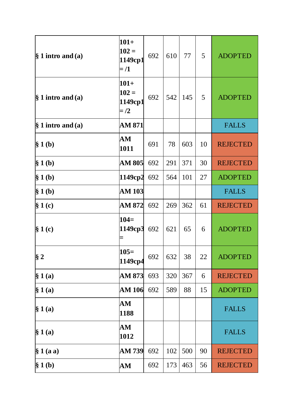| $\S$ 1 intro and (a)       | $101 +$<br>$102 =$<br>1149cp1<br>$=$ /1 | 692 | 610 | 77  | 5  | <b>ADOPTED</b>  |
|----------------------------|-----------------------------------------|-----|-----|-----|----|-----------------|
| $\S$ 1 intro and (a)       | $101 +$<br>$102 =$<br>1149cp1<br>$=$ /2 | 692 | 542 | 145 | 5  | <b>ADOPTED</b>  |
| $\hat{\S}$ 1 intro and (a) | AM 871                                  |     |     |     |    | <b>FALLS</b>    |
| § 1(b)                     | ${\bf AM}$<br>1011                      | 691 | 78  | 603 | 10 | <b>REJECTED</b> |
| § 1(b)                     | AM 805                                  | 692 | 291 | 371 | 30 | <b>REJECTED</b> |
| § 1(b)                     | 1149cp2                                 | 692 | 564 | 101 | 27 | <b>ADOPTED</b>  |
| § 1(b)                     | <b>AM 103</b>                           |     |     |     |    | <b>FALLS</b>    |
| $§ 1($ c $)$               | AM 872                                  | 692 | 269 | 362 | 61 | <b>REJECTED</b> |
| $§ 1($ c $)$               | $104=$<br>1149ср3                       | 692 | 621 | 65  | 6  | <b>ADOPTED</b>  |
| $\S 2$                     | $105=$<br>1149cp4                       | 692 | 632 | 38  | 22 | <b>ADOPTED</b>  |
| § 1(a)                     | AM 873                                  | 693 | 320 | 367 | 6  | <b>REJECTED</b> |
| § 1(a)                     | <b>AM 106</b>                           | 692 | 589 | 88  | 15 | <b>ADOPTED</b>  |
| § 1(a)                     | ${\bf AM}$<br>1188                      |     |     |     |    | <b>FALLS</b>    |
| § 1(a)                     | $\mathbf{A}\mathbf{M}$<br>1012          |     |     |     |    | <b>FALLS</b>    |
| $§ 1$ (a a)                | AM 739                                  | 692 | 102 | 500 | 90 | <b>REJECTED</b> |
| § 1(b)                     | AM                                      | 692 | 173 | 463 | 56 | <b>REJECTED</b> |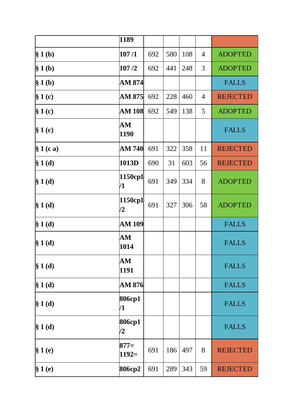|              | 1189              |     |     |     |                |                 |
|--------------|-------------------|-----|-----|-----|----------------|-----------------|
| § 1(b)       | 107/1             | 692 | 580 | 108 | 4              | <b>ADOPTED</b>  |
| § 1(b)       | 107/2             | 692 | 441 | 248 | 3              | <b>ADOPTED</b>  |
| § 1(b)       | AM 874            |     |     |     |                | <b>FALLS</b>    |
| $§ 1($ c $)$ | AM 875            | 692 | 228 | 460 | $\overline{4}$ | <b>REJECTED</b> |
| $§ 1($ c $)$ | <b>AM 108</b>     | 692 | 549 | 138 | 5              | <b>ADOPTED</b>  |
| $§ 1($ c $)$ | AM<br>1190        |     |     |     |                | <b>FALLS</b>    |
| § 1 (c a)    | <b>AM 740</b>     | 691 | 322 | 358 | 11             | <b>REJECTED</b> |
| § 1(d)       | 1013D             | 690 | 31  | 603 | 56             | <b>REJECTED</b> |
| § 1(d)       | 1150cp1<br>/1     | 691 | 349 | 334 | 8              | <b>ADOPTED</b>  |
| § 1(d)       | 1150cp1<br>/2     | 691 | 327 | 306 | 58             | <b>ADOPTED</b>  |
| § 1(d)       | <b>AM 109</b>     |     |     |     |                | <b>FALLS</b>    |
| § 1(d)       | AM<br>1014        |     |     |     |                | <b>FALLS</b>    |
| § 1(d)       | AM<br>1191        |     |     |     |                | <b>FALLS</b>    |
| § 1(d)       | AM 876            |     |     |     |                | <b>FALLS</b>    |
| § 1(d)       | 806cp1<br>/1      |     |     |     |                | <b>FALLS</b>    |
| § 1(d)       | 806cp1<br>/2      |     |     |     |                | <b>FALLS</b>    |
| § 1(e)       | $877=$<br>$1192=$ | 691 | 186 | 497 | 8              | <b>REJECTED</b> |
| § 1(e)       | 806ср2            | 691 | 289 | 343 | 59             | <b>REJECTED</b> |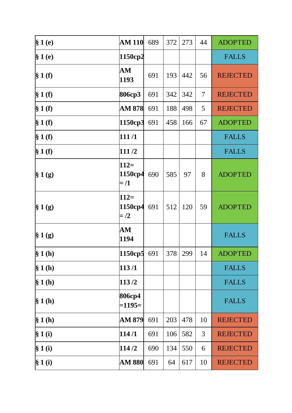| § 1(e) | <b>AM 110</b>               | 689 | 372 | 273 | 44             | <b>ADOPTED</b>  |
|--------|-----------------------------|-----|-----|-----|----------------|-----------------|
| § 1(e) | 1150cp2                     |     |     |     |                | <b>FALLS</b>    |
| § 1(f) | AM<br>1193                  | 691 | 193 | 442 | 56             | <b>REJECTED</b> |
| § 1(f) | 806ср3                      | 691 | 342 | 342 | $\overline{7}$ | <b>REJECTED</b> |
| § 1(f) | <b>AM 878</b>               | 691 | 188 | 498 | 5              | <b>REJECTED</b> |
| § 1(f) | 1150cp3                     | 691 | 458 | 166 | 67             | <b>ADOPTED</b>  |
| § 1(f) | 111/1                       |     |     |     |                | <b>FALLS</b>    |
| § 1(f) | 111/2                       |     |     |     |                | <b>FALLS</b>    |
| § 1(g) | $112=$<br>1150cp4<br>$=$ /1 | 690 | 585 | 97  | 8              | <b>ADOPTED</b>  |
| § 1(g) | $112=$<br>1150cp4<br>$=$ /2 | 691 | 512 | 120 | 59             | <b>ADOPTED</b>  |
| § 1(g) | AM<br>1194                  |     |     |     |                | <b>FALLS</b>    |
| § 1(h) | 1150cp5                     | 691 | 378 | 299 | 14             | <b>ADOPTED</b>  |
| § 1(h) | 113/1                       |     |     |     |                | <b>FALLS</b>    |
| § 1(h) | 113/2                       |     |     |     |                | <b>FALLS</b>    |
| § 1(h) | 806ср4<br>$=1195=$          |     |     |     |                | <b>FALLS</b>    |
| § 1(h) | <b>AM 879</b>               | 691 | 203 | 478 | 10             | <b>REJECTED</b> |
| § 1(i) | 114/1                       | 691 | 106 | 582 | 3              | <b>REJECTED</b> |
| § 1(i) | 114/2                       | 690 | 134 | 550 | 6              | <b>REJECTED</b> |
| § 1(i) | <b>AM 880</b>               | 691 | 64  | 617 | 10             | <b>REJECTED</b> |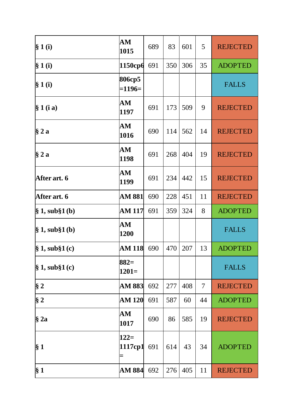| § 1(i)                  | AM<br>1015               | 689 | 83  | 601 | 5  | <b>REJECTED</b> |
|-------------------------|--------------------------|-----|-----|-----|----|-----------------|
| § 1(i)                  | 1150cp6                  | 691 | 350 | 306 | 35 | <b>ADOPTED</b>  |
| § 1(i)                  | 806cp5<br>$=1196=$       |     |     |     |    | <b>FALLS</b>    |
| $§ 1$ (i a)             | ${\bf AM}$<br>1197       | 691 | 173 | 509 | 9  | <b>REJECTED</b> |
| $§$ 2 a                 | AM<br>1016               | 690 | 114 | 562 | 14 | <b>REJECTED</b> |
| $§$ 2 a                 | AM<br>1198               | 691 | 268 | 404 | 19 | <b>REJECTED</b> |
| After art. 6            | ${\bf AM}$<br>1199       | 691 | 234 | 442 | 15 | <b>REJECTED</b> |
| After art. 6            | AM 881                   | 690 | 228 | 451 | 11 | <b>REJECTED</b> |
| $\S 1$ , sub $\S 1$ (b) | AM 117                   | 691 | 359 | 324 | 8  | <b>ADOPTED</b>  |
| $\S 1$ , sub $\S 1$ (b) | ${\bf AM}$<br>1200       |     |     |     |    | <b>FALLS</b>    |
| $\S 1$ , sub $\S 1$ (c) | <b>AM 118</b>            | 690 | 470 | 207 | 13 | <b>ADOPTED</b>  |
| $\S 1$ , sub $\S 1(c)$  | $882=$<br>$1201=$        |     |     |     |    | <b>FALLS</b>    |
| $§$ 2                   | <b>AM 883</b>            | 692 | 277 | 408 | 7  | <b>REJECTED</b> |
| $\S 2$                  | <b>AM 120</b>            | 691 | 587 | 60  | 44 | <b>ADOPTED</b>  |
| $§$ 2a                  | ${\bf AM}$<br>1017       | 690 | 86  | 585 | 19 | <b>REJECTED</b> |
| $\S 1$                  | $122=$<br>1117cp1<br>$=$ | 691 | 614 | 43  | 34 | <b>ADOPTED</b>  |
| $\S 1$                  | AM 884                   | 692 | 276 | 405 | 11 | <b>REJECTED</b> |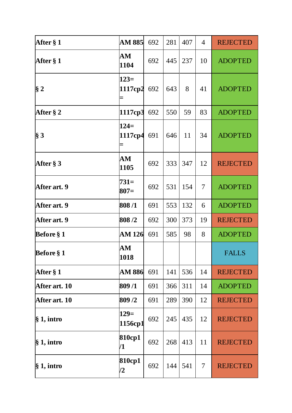| After § 1         | <b>AM 885</b>      | 692 | 281 | 407 | $\overline{4}$ | <b>REJECTED</b> |
|-------------------|--------------------|-----|-----|-----|----------------|-----------------|
| After § 1         | ${\bf AM}$<br>1104 | 692 | 445 | 237 | 10             | <b>ADOPTED</b>  |
| $§$ 2             | $123=$<br>1117cp2  | 692 | 643 | 8   | 41             | <b>ADOPTED</b>  |
| After § 2         | 1117cp3            | 692 | 550 | 59  | 83             | <b>ADOPTED</b>  |
| $\S 3$            | $124=$<br>1117cp4  | 691 | 646 | 11  | 34             | <b>ADOPTED</b>  |
| After § 3         | AM<br>1105         | 692 | 333 | 347 | 12             | <b>REJECTED</b> |
| After art. 9      | $731=$<br>$807 =$  | 692 | 531 | 154 | 7              | <b>ADOPTED</b>  |
| After art. 9      | 808/1              | 691 | 553 | 132 | 6              | <b>ADOPTED</b>  |
| After art. 9      | 808/2              | 692 | 300 | 373 | 19             | <b>REJECTED</b> |
| <b>Before</b> § 1 | <b>AM 126</b>      | 691 | 585 | 98  | 8              | <b>ADOPTED</b>  |
| Before § 1        | AM<br>1018         |     |     |     |                | <b>FALLS</b>    |
| After § 1         | <b>AM 886</b>      | 691 | 141 | 536 | 14             | <b>REJECTED</b> |
| After art. 10     | 809/1              | 691 | 366 | 311 | 14             | <b>ADOPTED</b>  |
| After art. 10     | 809/2              | 691 | 289 | 390 | 12             | <b>REJECTED</b> |
| $§ 1,$ intro      | $129=$<br>1156cp1  | 692 | 245 | 435 | 12             | <b>REJECTED</b> |
| § 1, intro        | 810cp1<br>/1       | 692 | 268 | 413 | 11             | <b>REJECTED</b> |
| § 1, intro        | 810cp1<br>/2       | 692 | 144 | 541 | 7              | <b>REJECTED</b> |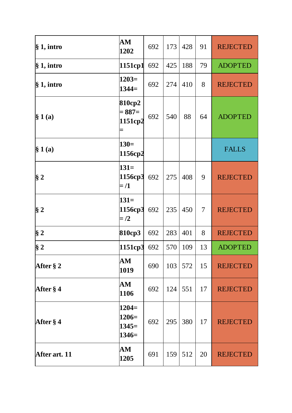| $\S 1$ , intro | AM<br>1202                               | 692 | 173 | 428 | 91 | <b>REJECTED</b> |
|----------------|------------------------------------------|-----|-----|-----|----|-----------------|
| $\S 1$ , intro | 1151cp1                                  | 692 | 425 | 188 | 79 | <b>ADOPTED</b>  |
| $\S 1$ , intro | $1203=$<br>$1344=$                       | 692 | 274 | 410 | 8  | <b>REJECTED</b> |
| § 1(a)         | 810cp2<br>$= 887 =$<br>1151cp2<br>⋍      | 692 | 540 | 88  | 64 | <b>ADOPTED</b>  |
| § 1(a)         | $130=$<br>1156cp2                        |     |     |     |    | <b>FALLS</b>    |
| $§$ 2          | $131=$<br>1156cp3<br>$=$ /1              | 692 | 275 | 408 | 9  | <b>REJECTED</b> |
| $§$ 2          | $131=$<br>1156cp3<br>$=$ /2              | 692 | 235 | 450 | 7  | <b>REJECTED</b> |
| § 2            | 810cp3                                   | 692 | 283 | 401 | 8  | <b>REJECTED</b> |
| $\S 2$         | 1151cp3                                  | 692 | 570 | 109 | 13 | <b>ADOPTED</b>  |
| After $\S 2$   | AM<br>1019                               | 690 | 103 | 572 | 15 | <b>REJECTED</b> |
| After § 4      | AM<br>1106                               | 692 | 124 | 551 | 17 | <b>REJECTED</b> |
| After § 4      | $1204=$<br>$1206=$<br>$1345=$<br>$1346=$ | 692 | 295 | 380 | 17 | <b>REJECTED</b> |
| After art. 11  | AM<br>1205                               | 691 | 159 | 512 | 20 | <b>REJECTED</b> |